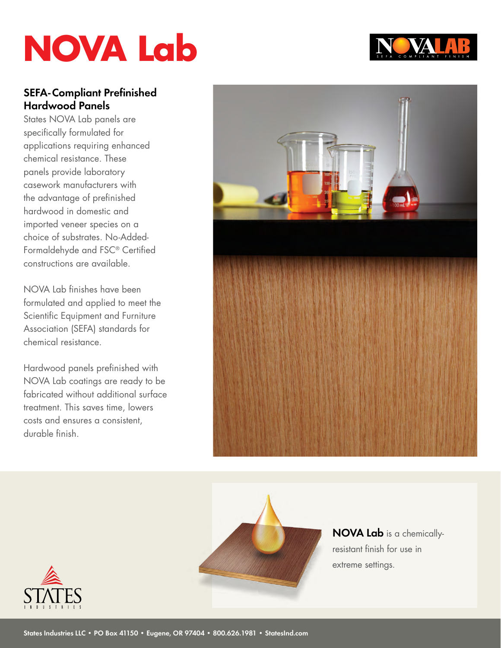## **NOVA Lab**

### **SEFA-Compliant Prefinished Hardwood Panels**

States NOVA Lab panels are specifically formulated for applications requiring enhanced chemical resistance. These panels provide laboratory casework manufacturers with the advantage of prefinished hardwood in domestic and imported veneer species on a choice of substrates. No-Added-Formaldehyde and FSC® Certified constructions are available.

NOVA Lab finishes have been formulated and applied to meet the Scientific Equipment and Furniture Association (SEFA) standards for chemical resistance.

Hardwood panels prefinished with NOVA Lab coatings are ready to be fabricated without additional surface treatment. This saves time, lowers costs and ensures a consistent, durable finish.





**NOVA Lab** is a chemicallyresistant finish for use in extreme settings.